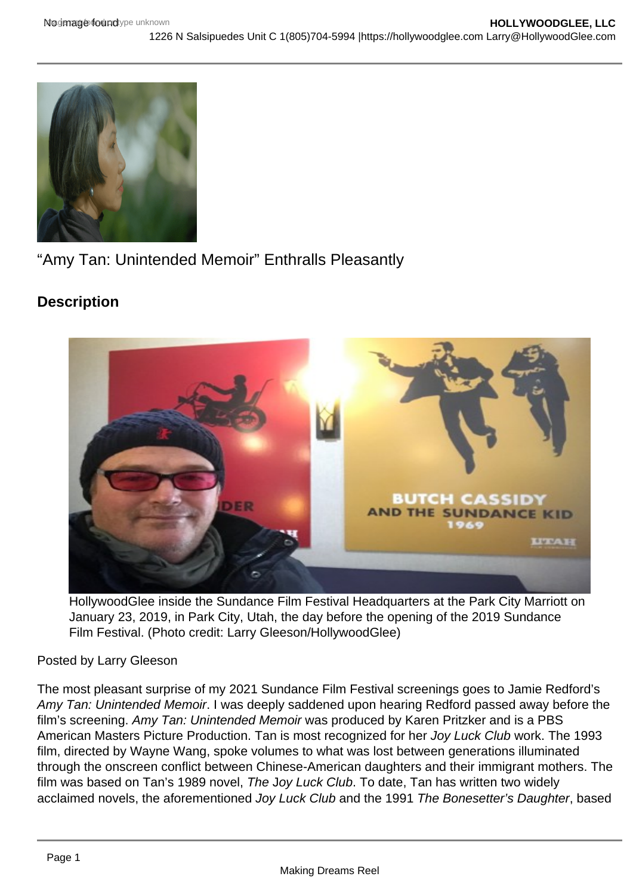"Amy Tan: Unintended Memoir" Enthralls Pleasantly

**Description** 

HollywoodGlee inside the Sundance Film Festival Headquarters at the Park City Marriott on January 23, 2019, in Park City, Utah, the day before the opening of the 2019 Sundance Film Festival. (Photo credit: Larry Gleeson/HollywoodGlee)

## Posted by Larry Gleeson

The most pleasant surprise of my 2021 Sundance Film Festival screenings goes to Jamie Redford's Amy Tan: Unintended Memoir. I was deeply saddened upon hearing Redford passed away before the film's screening. Amy Tan: Unintended Memoir was produced by Karen Pritzker and is a PBS American Masters Picture Production. Tan is most recognized for her Joy Luck Club work. The 1993 film, directed by Wayne Wang, spoke volumes to what was lost between generations illuminated through the onscreen conflict between Chinese-American daughters and their immigrant mothers. The film was based on Tan's 1989 novel, The Joy Luck Club. To date, Tan has written two widely acclaimed novels, the aforementioned Joy Luck Club and the 1991 The Bonesetter's Daughter, based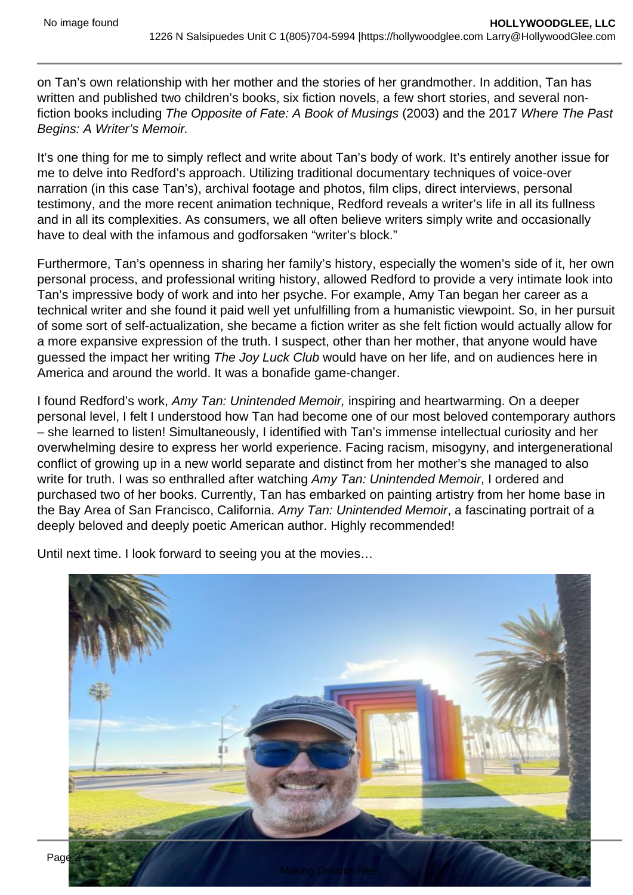on Tan's own relationship with her mother and the stories of her grandmother. In addition, Tan has written and published two children's books, six fiction novels, a few short stories, and several nonfiction books including The Opposite of Fate: A Book of Musings (2003) and the 2017 Where The Past Begins: A Writer's Memoir.

It's one thing for me to simply reflect and write about Tan's body of work. It's entirely another issue for me to delve into Redford's approach. Utilizing traditional documentary techniques of voice-over narration (in this case Tan's), archival footage and photos, film clips, direct interviews, personal testimony, and the more recent animation technique, Redford reveals a writer's life in all its fullness and in all its complexities. As consumers, we all often believe writers simply write and occasionally have to deal with the infamous and godforsaken "writer's block."

Furthermore, Tan's openness in sharing her family's history, especially the women's side of it, her own personal process, and professional writing history, allowed Redford to provide a very intimate look into Tan's impressive body of work and into her psyche. For example, Amy Tan began her career as a technical writer and she found it paid well yet unfulfilling from a humanistic viewpoint. So, in her pursuit of some sort of self-actualization, she became a fiction writer as she felt fiction would actually allow for a more expansive expression of the truth. I suspect, other than her mother, that anyone would have guessed the impact her writing The Joy Luck Club would have on her life, and on audiences here in America and around the world. It was a bonafide game-changer.

I found Redford's work, Amy Tan: Unintended Memoir, inspiring and heartwarming. On a deeper personal level, I felt I understood how Tan had become one of our most beloved contemporary authors – she learned to listen! Simultaneously, I identified with Tan's immense intellectual curiosity and her overwhelming desire to express her world experience. Facing racism, misogyny, and intergenerational conflict of growing up in a new world separate and distinct from her mother's she managed to also write for truth. I was so enthralled after watching Amy Tan: Unintended Memoir, I ordered and purchased two of her books. Currently, Tan has embarked on painting artistry from her home base in the Bay Area of San Francisco, California. Amy Tan: Unintended Memoir, a fascinating portrait of a deeply beloved and deeply poetic American author. Highly recommended!

Until next time. I look forward to seeing you at the movies…